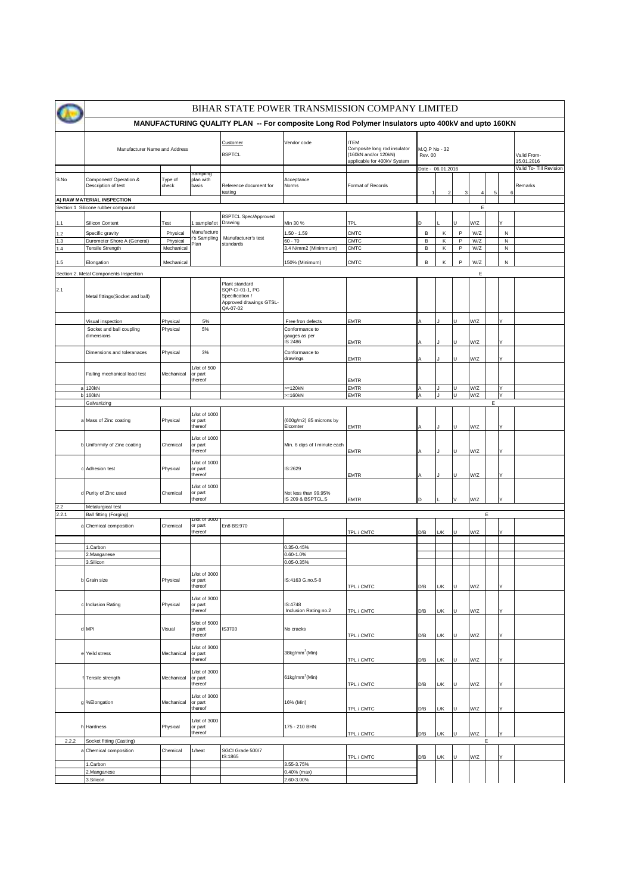|              | BIHAR STATE POWER TRANSMISSION COMPANY LIMITED                   |                                                 |                                     |                                                                                             |                                           |                                                                                                    |                                                      |                |             |            |   |                        |                                                      |
|--------------|------------------------------------------------------------------|-------------------------------------------------|-------------------------------------|---------------------------------------------------------------------------------------------|-------------------------------------------|----------------------------------------------------------------------------------------------------|------------------------------------------------------|----------------|-------------|------------|---|------------------------|------------------------------------------------------|
|              |                                                                  |                                                 |                                     |                                                                                             |                                           | MANUFACTURING QUALITY PLAN -- For composite Long Rod Polymer Insulators upto 400kV and upto 160KN  |                                                      |                |             |            |   |                        |                                                      |
|              | Manufacturer Name and Address                                    |                                                 |                                     | Customer<br><b>BSPTCL</b>                                                                   | Vendor code                               | <b>ITEM</b><br>Composite long rod insulator<br>(160kN and/or 120kN)<br>applicable for 400kV System | M.Q.P No - 32<br><b>Rev. 00</b><br>Date - 06.01.2016 |                |             |            |   |                        | Valid From-<br>15.01.2016<br>Valid To- Till Revision |
| S.No         | Component/ Operation &<br>Description of test                    | Type of<br>check                                | sampiing<br>plan with<br>basis      | Reference document for<br>testing                                                           | Acceptance<br>Norms                       | Format of Records                                                                                  | 1                                                    | $\overline{2}$ |             |            |   | 6                      | Remarks                                              |
|              | A) RAW MATERIAL INSPECTION<br>Section:1 Silicone rubber compound |                                                 |                                     |                                                                                             |                                           |                                                                                                    |                                                      |                |             | Е          |   |                        |                                                      |
|              |                                                                  |                                                 |                                     | <b>BSPTCL Spec/Approved</b>                                                                 |                                           |                                                                                                    |                                                      |                |             |            |   |                        |                                                      |
| 1.1          | Silicon Content                                                  | Test                                            | sample/lot                          | Drawing                                                                                     | Min 30 %                                  | TPL                                                                                                | D                                                    |                |             | W/Z        |   |                        |                                                      |
| 1.2<br>1.3   | Specific gravity<br>Durometer Shore A (General)                  | Physical<br>Physical                            | Manufacture<br>r's Sampling         | Manufacturer's test                                                                         | $.50 - 1.59$<br>$30 - 70$                 | CMTC<br>CMTC                                                                                       | B<br>В                                               | К<br>κ         | P<br>P      | W/Z<br>W/Z |   | ${\sf N}$<br>${\sf N}$ |                                                      |
| 1.4          | Tensile Strength                                                 | Mechanical                                      | Plan                                | standards                                                                                   | 3.4 N/mm2 (Minimmum)                      | CMTC                                                                                               | B                                                    | κ              | P           | W/Z        |   | ${\sf N}$              |                                                      |
| 1.5          | Elongation                                                       | Mechanical                                      |                                     |                                                                                             | 150% (Minimum)                            | CMTC                                                                                               | B                                                    | Κ              | $\mathsf P$ | W/Z        |   | N                      |                                                      |
|              | Section:2. Metal Components Inspection                           |                                                 |                                     |                                                                                             |                                           |                                                                                                    |                                                      |                |             | Е          |   |                        |                                                      |
| 2.1          | Metal fittings(Socket and ball)                                  |                                                 |                                     | Plant standard<br>SQP-CI-01-1, PG<br>Specification /<br>Approved drawings GTSL-<br>QA-07-02 |                                           |                                                                                                    |                                                      |                |             |            |   |                        |                                                      |
|              | Visual inspection                                                | Physical                                        | 5%                                  |                                                                                             | Free fron defects                         | EMTR                                                                                               |                                                      |                | U           | W/Z        |   | Y                      |                                                      |
|              | Socket and ball coupling<br>dimensions                           | Physical                                        | 5%                                  |                                                                                             | Conformance to<br>gauges as per<br>S 2486 | EMTR                                                                                               |                                                      |                |             | W/Z        |   |                        |                                                      |
|              | Dimensions and toleranaces                                       | Physical                                        | 3%                                  |                                                                                             | Conformance to<br>drawings                | <b>EMTR</b>                                                                                        |                                                      |                |             | W/Z        |   |                        |                                                      |
|              | Failing mechanical load test                                     | Mechanical                                      | 1/lot of 500<br>or part<br>thereof  |                                                                                             |                                           | <b>EMTR</b>                                                                                        |                                                      |                |             |            |   |                        |                                                      |
| $\mathsf b$  | 120kN<br>a                                                       |                                                 |                                     |                                                                                             | $=120kN$<br>$=160kN$                      | EMTR                                                                                               |                                                      |                | U<br>U      | W/Z<br>W/Z |   | Υ<br>Y                 |                                                      |
|              | 160kN<br>Galvanizing                                             |                                                 |                                     |                                                                                             |                                           | EMTR                                                                                               |                                                      |                |             |            | Ε |                        |                                                      |
|              | a Mass of Zinc coating                                           | 1/lot of 1000<br>Physical<br>or part<br>thereof |                                     |                                                                                             | (600g/m2) 85 microns by<br>Elcomter       | <b>EMTR</b>                                                                                        |                                                      |                | H.          | W/Z        |   | ٧                      |                                                      |
|              | b Uniformity of Zinc coating                                     | Chemical                                        | 1/lot of 1000<br>or part<br>thereof |                                                                                             | Min. 6 dips of I minute each              | EMTR                                                                                               |                                                      |                |             | W/Z        |   |                        |                                                      |
|              | c Adhesion test                                                  | Physical                                        | 1/lot of 1000<br>or part<br>thereof |                                                                                             | IS:2629                                   | EMTR                                                                                               |                                                      |                |             | W/Z        |   |                        |                                                      |
|              | d Purity of Zinc used                                            | Chemical                                        | 1/lot of 1000<br>or part<br>thereof |                                                                                             | Not less than 99.95%<br>IS 209 & BSPTCL.S | EMTR                                                                                               | D                                                    |                |             | W/Z        |   |                        |                                                      |
| 2.2<br>2.2.1 | Metalurgical test<br>Ball fitting (Forging)                      |                                                 |                                     |                                                                                             |                                           |                                                                                                    |                                                      |                |             |            | Е |                        |                                                      |
|              | a Chemical composition                                           | Chemical                                        | 1/10t of 3000<br>or part            | En8 BS:970                                                                                  |                                           |                                                                                                    |                                                      |                |             |            |   |                        |                                                      |
|              |                                                                  |                                                 | thereof                             |                                                                                             |                                           | TPL / CMTC                                                                                         | D/B                                                  | L/K            | U           | W/Z        |   | Y                      |                                                      |
|              | 1.Carbon                                                         |                                                 |                                     |                                                                                             | 0.35-0.45%                                |                                                                                                    |                                                      |                |             |            |   |                        |                                                      |
|              | 2.Manganese                                                      |                                                 |                                     |                                                                                             | 0.60-1.0%                                 |                                                                                                    |                                                      |                |             |            |   |                        |                                                      |
|              | 3.Silicon                                                        |                                                 | 1/lot of 3000                       |                                                                                             | 0.05-0.35%                                |                                                                                                    |                                                      |                |             |            |   |                        |                                                      |
|              | b Grain size                                                     | Physical                                        | or part<br>thereof                  |                                                                                             | IS:4163 G.no.5-8                          | TPL / CMTC                                                                                         | D/B                                                  | L/K            | U           | W/Z        |   | ٧                      |                                                      |
|              | c Inclusion Rating                                               | Physical                                        | 1/lot of 3000<br>or part<br>thereof |                                                                                             | IS:4748<br>Inclusion Rating no.2          | TPL / CMTC                                                                                         | D/B                                                  | L/K            | U           | W/Z        |   | Y                      |                                                      |
|              | d MPI                                                            | Visual                                          | 5/lot of 5000<br>or part<br>thereof | IS3703                                                                                      | No cracks                                 | TPL / CMTC                                                                                         | D/B                                                  | L/K            | U           | W/Z        |   | Y                      |                                                      |
|              | e Yeild stress                                                   | Mechanical                                      | 1/lot of 3000<br>or part<br>thereof |                                                                                             | 38kg/mm <sup>2</sup> (Min)                | TPL / CMTC                                                                                         | D/B                                                  | L/K            | U           | W/Z        |   | Υ                      |                                                      |
|              | f Tensile strength                                               | Mechanical                                      | 1/lot of 3000<br>or part<br>thereof |                                                                                             | 61kg/mm <sup>2</sup> (Min)                | TPL / CMTC                                                                                         | D/B                                                  | L/K            | U           | W/Z        |   | Y                      |                                                      |
|              | g %Elongation                                                    | Mechanical                                      | 1/lot of 3000<br>or part<br>thereof |                                                                                             | 16% (Min)                                 | TPL / CMTC                                                                                         | D/B                                                  | L/K            |             | W/Z        |   | Y                      |                                                      |
|              | h Hardness<br>Physical<br>or part<br>thereof                     |                                                 | 1/lot of 3000                       |                                                                                             | 175 - 210 BHN                             | TPL / CMTC                                                                                         | D/B                                                  | L/К            |             | W/Z        |   |                        |                                                      |
| 2.2.2        | Socket fitting (Casting)                                         |                                                 |                                     |                                                                                             |                                           |                                                                                                    |                                                      |                |             |            | Ε |                        |                                                      |
|              | Chemical composition                                             | Chemical                                        | 1/heat                              | SGCI Grade 500/7<br>IS:1865                                                                 |                                           | TPL / CMTC                                                                                         | D/B                                                  | L/K            | u           | W/Z        |   |                        |                                                      |
|              | 1.Carbon<br>2.Manganese                                          |                                                 |                                     |                                                                                             | 3.55-3.75%<br>0.40% (max)                 |                                                                                                    |                                                      |                |             |            |   |                        |                                                      |
|              | 3.Silicon                                                        |                                                 |                                     |                                                                                             | 2.60-3.00%                                |                                                                                                    |                                                      |                |             |            |   |                        |                                                      |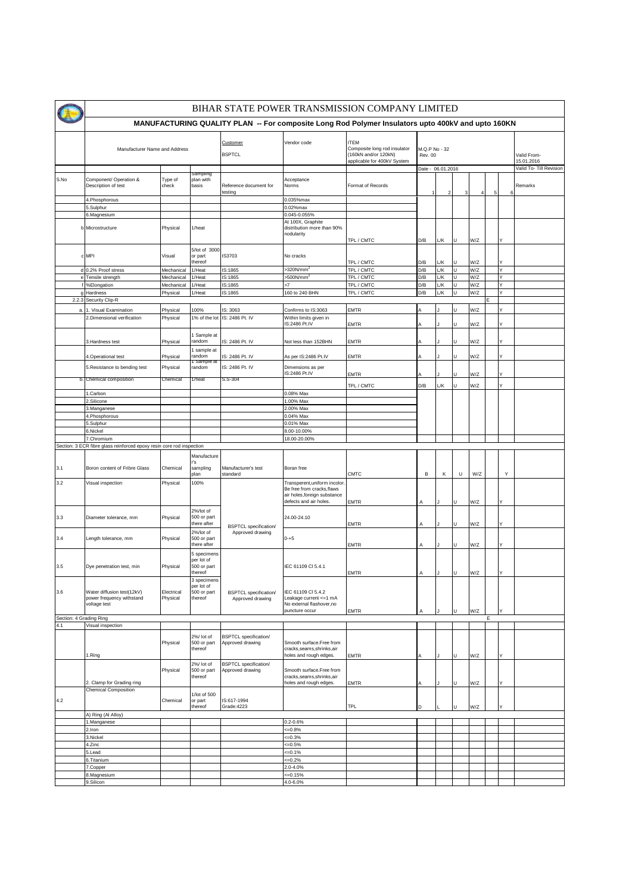|                                |                                                                         |                        |                                                     |                                                  |                                                                                                                       | BIHAR STATE POWER TRANSMISSION COMPANY LIMITED                                                     |                                 |               |         |            |   |          |                                    |
|--------------------------------|-------------------------------------------------------------------------|------------------------|-----------------------------------------------------|--------------------------------------------------|-----------------------------------------------------------------------------------------------------------------------|----------------------------------------------------------------------------------------------------|---------------------------------|---------------|---------|------------|---|----------|------------------------------------|
|                                |                                                                         |                        |                                                     |                                                  |                                                                                                                       | MANUFACTURING QUALITY PLAN -- For composite Long Rod Polymer Insulators upto 400kV and upto 160KN  |                                 |               |         |            |   |          |                                    |
|                                | Manufacturer Name and Address                                           |                        |                                                     | Customer<br><b>BSPTCL</b>                        | Vendor code                                                                                                           | <b>ITEM</b><br>Composite long rod insulator<br>(160kN and/or 120kN)<br>applicable for 400kV System | M.Q.P No - 32<br><b>Rev. 00</b> |               |         |            |   |          | Valid From-<br>15.01.2016          |
| S.No                           | Component/ Operation &<br>Description of test                           | Type of<br>check       | ampiing<br>plan with<br>basis                       | Reference document for<br>testing                | Acceptance<br>Norms                                                                                                   | Format of Records                                                                                  | Date - 06.01.2016               | $\mathcal{P}$ | 3       |            | 5 | 6        | Valid To- Till Revision<br>Remarks |
|                                | 4. Phosphorous                                                          |                        |                                                     |                                                  | 0.035%max                                                                                                             |                                                                                                    |                                 |               |         |            |   |          |                                    |
|                                | 5.Sulphur<br>6.Magnesium                                                |                        |                                                     |                                                  | $0.02%$ max<br>0.045-0.055%                                                                                           |                                                                                                    |                                 |               |         |            |   |          |                                    |
|                                | b Microstructure                                                        | Physical               | 1/heat                                              |                                                  | At 100X, Graphite<br>distribution more than 90%<br>nodularity                                                         |                                                                                                    |                                 |               |         |            |   |          |                                    |
|                                | c MPI                                                                   | Visual                 | 5/lot of 3000<br>or part<br>thereof                 | IS3703                                           | No cracks                                                                                                             | TPL / CMTC<br>TPL / CMTC                                                                           | D/B<br>D/B                      | L/K<br>L/K    | U<br>U  | W/Z<br>W/Z |   |          |                                    |
|                                | d 0.2% Proof stress                                                     | Mechanical             | 1/Heat                                              | IS:1865                                          | >320N/mm <sup>2</sup>                                                                                                 | TPL / CMTC                                                                                         | D/B                             | L/K           | U       | W/Z        |   | Y        |                                    |
|                                | e Tensile strength                                                      | Mechanical             | 1/Heat                                              | S:1865                                           | >500N/mm <sup>2</sup>                                                                                                 | TPL / CMTC                                                                                         | D/B                             | L/K           | lυ      | W/Z        |   | Υ        |                                    |
|                                | <b>%Elongation</b>                                                      | Mechanical             | 1/Heat                                              | IS:1865                                          | $\mathbf{z}$                                                                                                          | TPL / CMTC                                                                                         | D/B                             | L/K           | U       | W/Z        |   | Y        |                                    |
|                                | Hardness                                                                | Physical               | 1/Heat                                              | IS:1865                                          | 160 to 240 BHN                                                                                                        | TPL / CMTC                                                                                         | D/B                             | L/K           | lυ      | W/Z        |   | Y        |                                    |
|                                | 2.2.3 Security Clip-R                                                   |                        |                                                     |                                                  |                                                                                                                       |                                                                                                    |                                 |               |         |            |   |          |                                    |
| a                              | . Visual Examination<br>2. Dimensional verification                     | Physical<br>Physical   | 100%<br>1% of the lot                               | IS: 3063<br>IS: 2486 Pt. IV                      | Confirms to IS:3063<br>Within limits given in<br>S:2486 Pt.IV                                                         | EMTR<br>EMTR                                                                                       | А                               |               | IJ<br>ū | W/Z<br>W/Z |   | Y        |                                    |
|                                | 3. Hardness test                                                        | Physical               | Sample at<br>random                                 | S: 2486 Pt. IV                                   | Not less than 152BHN                                                                                                  | EMTR                                                                                               |                                 |               |         | N/Z        |   |          |                                    |
|                                | 4. Operational test                                                     | Physical               | sample at<br>random<br>i Sampie                     | IS: 2486 Pt. IV                                  | As per IS:2486 Pt.IV                                                                                                  | EMTR                                                                                               | А                               |               | ū       | W/Z        |   |          |                                    |
|                                | 5. Resistance to bending test<br>b. Chemical composition                | Physical               | random<br>1/heat                                    | IS: 2486 Pt. IV                                  | Dimensions as per<br>S:2486 Pt.IV                                                                                     | EMTR                                                                                               |                                 |               |         | W/Z        |   |          |                                    |
|                                |                                                                         | Chemical               |                                                     | S.S-304                                          |                                                                                                                       | TPL / CMTC                                                                                         | D/B                             | L/K           | U       | W/Z        |   |          |                                    |
|                                | 1.Carbon                                                                |                        |                                                     |                                                  | 0.08% Max                                                                                                             |                                                                                                    |                                 |               |         |            |   |          |                                    |
|                                | 2.Silicone                                                              |                        |                                                     |                                                  | 1.00% Max                                                                                                             |                                                                                                    |                                 |               |         |            |   |          |                                    |
|                                | 3.Manganese                                                             |                        |                                                     |                                                  | 2.00% Max                                                                                                             |                                                                                                    |                                 |               |         |            |   |          |                                    |
|                                | 4. Phosphorous                                                          |                        |                                                     |                                                  | 0.04% Max                                                                                                             |                                                                                                    |                                 |               |         |            |   |          |                                    |
|                                | 5.Sulphur                                                               |                        |                                                     |                                                  | 0.01% Max                                                                                                             |                                                                                                    |                                 |               |         |            |   |          |                                    |
|                                | 6.Nickel<br>7.Chromium                                                  |                        |                                                     |                                                  | 8.00-10.00%<br>18.00-20.00%                                                                                           |                                                                                                    |                                 |               |         |            |   |          |                                    |
|                                | Section: 3 ECR fibre glass reinforced epoxy resin core rod inspection   |                        |                                                     |                                                  |                                                                                                                       |                                                                                                    |                                 |               |         |            |   |          |                                    |
|                                |                                                                         |                        | Manufacture                                         |                                                  |                                                                                                                       |                                                                                                    |                                 |               |         |            |   |          |                                    |
| 3.1                            | Boron content of Fribre Glass                                           | Chemical               | r's<br>sampling<br>plan                             | Manufacturer's test<br>standard                  | Boran free                                                                                                            | <b>CMTC</b>                                                                                        | В                               | κ             | U       | W/Z        |   | Y        |                                    |
| 3.2                            | Visual inspection                                                       | Physical               | 100%                                                |                                                  | Transperent, uniform incolor.<br>Be free from cracks, flaws<br>air holes, foreign substance<br>defects and air holes. | EMTR                                                                                               | Α                               |               |         | W/Z        |   |          |                                    |
| 3.3                            | Diameter tolerance, mm                                                  | Physical               | 2%/lot of<br>500 or part<br>there after             |                                                  | 24.00-24.10                                                                                                           | EMTR                                                                                               | Α                               |               | u       | W/Z        |   |          |                                    |
| 3.4                            | Length tolerance, mm                                                    | Physical               | 2%/lot of<br>500 or part<br>there after             | <b>BSPTCL</b> specification/<br>Approved drawing | $0 - +5$                                                                                                              | EMTR                                                                                               | Α                               |               |         | W/Z        |   |          |                                    |
|                                |                                                                         |                        | 5 specimens<br>per lot of                           |                                                  |                                                                                                                       |                                                                                                    |                                 |               |         |            |   |          |                                    |
| 3.5                            | Dye penetration test, min                                               | Physical               | 500 or part<br>thereof                              |                                                  | IEC 61109 CI 5.4.1                                                                                                    | <b>EMTR</b>                                                                                        | Α                               |               | U       | W/Z        |   | <b>Y</b> |                                    |
| 3.6                            | Water diffusion test(12kV)<br>power frequency withstand<br>voltage test | Electrical<br>Physical | 3 specimens<br>per lot of<br>500 or part<br>thereof | <b>BSPTCL</b> specification/<br>Approved drawing | IEC 61109 CI 5.4.2<br>Leakage current <= 1 mA<br>No external flashover, no<br>puncture occur                          | <b>EMTR</b>                                                                                        | A                               |               | υ       | W/Z        |   |          |                                    |
| Section: 4 Grading Ring<br>4.1 | Visual inspection                                                       |                        |                                                     |                                                  |                                                                                                                       |                                                                                                    |                                 |               |         |            | E |          |                                    |
|                                |                                                                         | Physical               | 2%/ lot of<br>500 or part<br>thereof                | <b>BSPTCL</b> specification/<br>Approved drawing | Smooth surface.Free from<br>cracks, seams, shrinks, air<br>holes and rough edges.                                     |                                                                                                    |                                 |               |         |            |   |          |                                    |
|                                | .Ring<br>2. Clamp for Grading ring                                      | Physical               | 2%/ lot of<br>500 or part<br>thereof                | <b>BSPTCL</b> specification/<br>Approved drawing | Smooth surface.Free from<br>cracks, seams, shrinks, air<br>holes and rough edges.                                     | <b>EMTR</b><br>EMTR                                                                                |                                 |               |         | W/Z<br>W/Z |   |          |                                    |
| 4.2                            | <b>Chemical Composition</b>                                             | Chemical               | 1/lot of 500<br>or part<br>thereof                  | IS:617-1994<br>Grade: 4223                       |                                                                                                                       | <b>TPL</b>                                                                                         | D                               |               | υ       | W/Z        |   |          |                                    |
|                                | A) Ring (Al Alloy)                                                      |                        |                                                     |                                                  |                                                                                                                       |                                                                                                    |                                 |               |         |            |   |          |                                    |
|                                | 1.Manganese<br>.lron                                                    |                        |                                                     |                                                  | 0.2-0.6%<br>$=0.8%$                                                                                                   |                                                                                                    |                                 |               |         |            |   |          |                                    |
|                                | 3. Nickel                                                               |                        |                                                     |                                                  | $=0.3%$                                                                                                               |                                                                                                    |                                 |               |         |            |   |          |                                    |
|                                | 4.Zinc                                                                  |                        |                                                     |                                                  | $=0.5%$                                                                                                               |                                                                                                    |                                 |               |         |            |   |          |                                    |
|                                | 5.Lead                                                                  |                        |                                                     |                                                  | $=0.1%$                                                                                                               |                                                                                                    |                                 |               |         |            |   |          |                                    |
|                                | 6. Titanium                                                             |                        |                                                     |                                                  | $=0.2%$                                                                                                               |                                                                                                    |                                 |               |         |            |   |          |                                    |
|                                | 7.Copper                                                                |                        |                                                     |                                                  | 2.0-4.0%                                                                                                              |                                                                                                    |                                 |               |         |            |   |          |                                    |
|                                | 8. Magnesium                                                            |                        |                                                     |                                                  | $=0.15%$                                                                                                              |                                                                                                    |                                 |               |         |            |   |          |                                    |
|                                | 9.Silicon                                                               |                        |                                                     |                                                  | 4.0-6.0%                                                                                                              |                                                                                                    |                                 |               |         |            |   |          |                                    |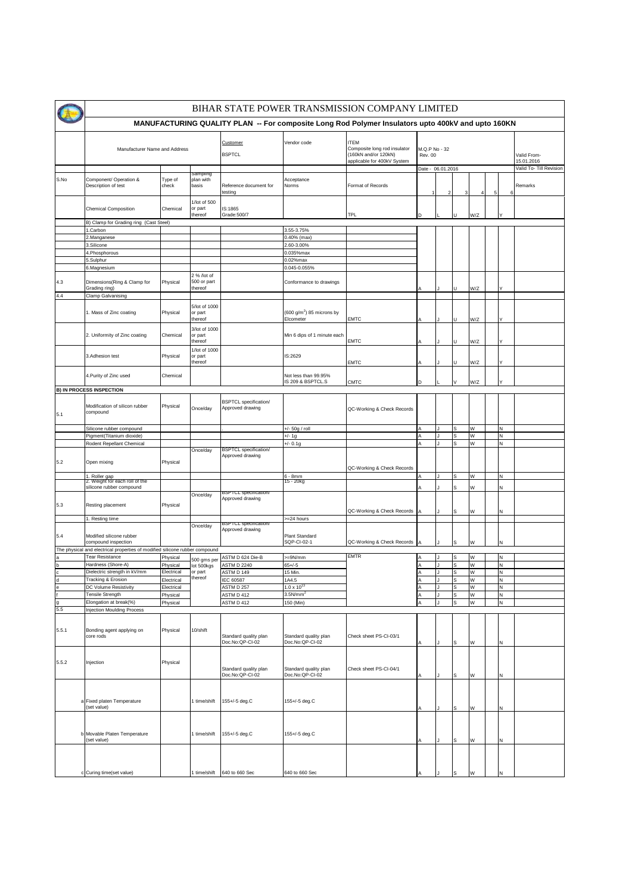|                   | BIHAR STATE POWER TRANSMISSION COMPANY LIMITED                              |                          |                                       |                                                  |                                                    |                                                                                                    |                                 |                |         |        |   |        |                           |
|-------------------|-----------------------------------------------------------------------------|--------------------------|---------------------------------------|--------------------------------------------------|----------------------------------------------------|----------------------------------------------------------------------------------------------------|---------------------------------|----------------|---------|--------|---|--------|---------------------------|
|                   |                                                                             |                          |                                       |                                                  |                                                    | MANUFACTURING QUALITY PLAN -- For composite Long Rod Polymer Insulators upto 400kV and upto 160KN  |                                 |                |         |        |   |        |                           |
|                   | Manufacturer Name and Address                                               |                          |                                       | Customer<br><b>BSPTCL</b>                        | Vendor code                                        | <b>ITEM</b><br>Composite long rod insulator<br>(160kN and/or 120kN)<br>applicable for 400kV System | M.Q.P No - 32<br><b>Rev. 00</b> |                |         |        |   |        | Valid From-<br>15.01.2016 |
|                   |                                                                             |                          | sampiing                              |                                                  |                                                    |                                                                                                    | Date - 06.01.2016               |                |         |        |   |        | Valid To- Till Revision   |
| S.No              | Component/ Operation &<br>Description of test                               | Type of<br>check         | plan with<br>basis                    | Reference document for<br>testing                | Acceptance<br>Norms                                | Format of Records                                                                                  | 1                               | $\overline{2}$ |         | 4      | 5 | 6      | Remarks                   |
|                   | <b>Chemical Composition</b>                                                 | Chemical                 | 1/lot of 500<br>or part<br>thereof    | IS:1865<br>Grade: 500/7                          |                                                    | <b>TPL</b>                                                                                         | D                               |                |         | W/Z    |   |        |                           |
|                   | B) Clamp for Grading ring (Cast Steel)                                      |                          |                                       |                                                  |                                                    |                                                                                                    |                                 |                |         |        |   |        |                           |
|                   | 1.Carbon                                                                    |                          |                                       |                                                  | 3.55-3.75%                                         |                                                                                                    |                                 |                |         |        |   |        |                           |
|                   | 2.Manganese                                                                 |                          |                                       |                                                  | 0.40% (max)                                        |                                                                                                    |                                 |                |         |        |   |        |                           |
|                   | 3. Silicone                                                                 |                          |                                       |                                                  | 2.60-3.00%                                         |                                                                                                    |                                 |                |         |        |   |        |                           |
|                   | 4. Phosphorous                                                              |                          |                                       |                                                  | 0.035%max                                          |                                                                                                    |                                 |                |         |        |   |        |                           |
|                   | 5.Sulphur                                                                   |                          |                                       |                                                  | $0.02%$ max                                        |                                                                                                    |                                 |                |         |        |   |        |                           |
|                   | 6.Magnesium                                                                 |                          |                                       |                                                  | 0.045-0.055%                                       |                                                                                                    |                                 |                |         |        |   |        |                           |
| 4.3               | Dimensions(Ring & Clamp for<br>Grading ring)                                | Physical                 | 2 % /lot of<br>500 or part<br>thereof |                                                  | Conformance to drawings                            |                                                                                                    |                                 |                | H.      | W/Z    |   |        |                           |
| 4.4               | Clamp Galvanising                                                           |                          |                                       |                                                  |                                                    |                                                                                                    |                                 |                |         |        |   |        |                           |
|                   | 1. Mass of Zinc coating                                                     | Physical                 | 5/lot of 1000<br>or part<br>thereof   |                                                  | (600 g/m <sup>2</sup> ) 85 microns by<br>Elcometer | <b>EMTC</b>                                                                                        |                                 |                | U       | W/Z    |   | Υ      |                           |
|                   | 2. Uniformity of Zinc coating                                               | Chemical                 | 3/lot of 1000<br>or part<br>thereof   |                                                  | Min 6 dips of 1 minute each                        | <b>EMTC</b>                                                                                        |                                 |                |         | W/Z    |   |        |                           |
|                   | 3. Adhesion test                                                            | Physical                 | 1/lot of 1000<br>or part<br>thereof   |                                                  | IS:2629                                            | <b>EMTC</b>                                                                                        |                                 |                | H.      | W/Z    |   |        |                           |
|                   | 4. Purity of Zinc used                                                      | Chemical                 |                                       |                                                  | Not less than 99.95%<br>IS 209 & BSPTCL.S          | CMTC                                                                                               | D                               |                |         | W/Z    |   |        |                           |
|                   | <b>B) IN PROCESS INSPECTION</b>                                             |                          |                                       |                                                  |                                                    |                                                                                                    |                                 |                |         |        |   |        |                           |
| 5.1               | Modification of silicon rubber<br>compound                                  | Physical                 | Once/day                              | <b>BSPTCL</b> specification/<br>Approved drawing |                                                    | QC-Working & Check Records                                                                         |                                 |                |         |        |   |        |                           |
|                   | Silicone rubber compound                                                    |                          |                                       |                                                  | +/- 50g / roll                                     |                                                                                                    |                                 |                |         | W      |   | Ν      |                           |
|                   | Pigment(Titanium dioxide)                                                   |                          |                                       |                                                  | $+/- 1g$                                           |                                                                                                    |                                 |                | S       | W      |   | N      |                           |
|                   | Rodent Repellant Chemical                                                   |                          |                                       |                                                  | $+/- 0.1g$                                         |                                                                                                    |                                 |                | S       | W      |   | N      |                           |
| 5.2               | Open mixing                                                                 | Physical                 | Once/day                              | <b>BSPTCL</b> specification/<br>Approved drawing |                                                    | QC-Working & Check Records                                                                         |                                 |                |         |        |   |        |                           |
|                   | 1. Roller gap<br>2. Weight for each roll of the                             |                          |                                       |                                                  | $6 - 8$ mm<br>15 - 20kg                            |                                                                                                    |                                 |                | S       | W      |   | N      |                           |
|                   | silicone rubber compound                                                    |                          | Once/day                              | BSPTCL specification                             |                                                    |                                                                                                    |                                 |                |         | W      |   | N      |                           |
| 5.3               | Resting placement                                                           | Physical                 |                                       | Approved drawing                                 |                                                    | QC-Working & Check Records                                                                         |                                 |                | S       | W      |   | И      |                           |
|                   | 1. Resting time                                                             |                          |                                       |                                                  | =24 hours                                          |                                                                                                    |                                 |                |         |        |   |        |                           |
| 5.4               | Modified silicone rubber                                                    |                          | Once/day                              | BSPTCL specification<br>Approved drawing         | Plant Standard                                     |                                                                                                    |                                 |                |         |        |   |        |                           |
|                   | compound inspection                                                         |                          |                                       |                                                  | SQP-CI-02-1                                        | QC-Working & Check Records                                                                         |                                 |                | s       | W      |   | Ν      |                           |
|                   | The physical and electrical properties of modified silicone rubber compound |                          |                                       |                                                  |                                                    |                                                                                                    |                                 |                |         |        |   |        |                           |
|                   | <b>Tear Resistance</b>                                                      | Physical                 | 500 gms per                           | ASTM D 624 Die-B                                 | >=9N/mm                                            | <b>EMTR</b>                                                                                        |                                 |                |         | W      |   | N      |                           |
|                   | Hardness (Shore-A)                                                          | Physical                 | lot 500kgs                            | <b>ASTM D 2240</b>                               | $65 + (-5)$                                        |                                                                                                    |                                 |                | s       | W      |   | N      |                           |
|                   | Dielectric strength in kV/mm                                                | Electrical               | or part<br>thereof                    | ASTM D 149                                       | 15 Min.                                            |                                                                                                    |                                 |                | s       | W      |   | N      |                           |
| $\mathsf{d}$<br>e | Tracking & Erosion<br>DC Volume Resistivity                                 | Electrical<br>Electrical |                                       | IEC 60587<br>ASTM D 257                          | 1A4.5<br>$1.0 \times 10^{13}$                      |                                                                                                    |                                 |                | ls<br>S | W<br>W |   | N<br>N |                           |
|                   | Tensile Strength                                                            | Physical                 |                                       | ASTM D 412                                       | 3.5N/mm                                            |                                                                                                    |                                 |                | s       | W      |   | N      |                           |
| g                 | Elongation at break(%)                                                      | Physical                 |                                       | ASTM D 412                                       | 150 (Min)                                          |                                                                                                    |                                 |                | S       | W      |   | N      |                           |
| 5.5               | <b>Injection Moulding Process</b>                                           |                          |                                       |                                                  |                                                    |                                                                                                    |                                 |                |         |        |   |        |                           |
| 5.5.1             | Bonding agent applying on<br>core rods                                      | Physical                 | 10/shift                              | Standard quality plan                            | Standard quality plan                              | Check sheet PS-CI-03/1                                                                             |                                 |                |         |        |   |        |                           |
|                   |                                                                             |                          |                                       | Doc.No:QP-CI-02                                  | Doc.No:QP-CI-02                                    |                                                                                                    |                                 |                | s       | W      |   | Ν      |                           |
| 5.5.2             | Injection                                                                   | Physical                 |                                       | Standard quality plan<br>Doc.No:QP-CI-02         | Standard quality plan<br>Doc.No:QP-CI-02           | Check sheet PS-CI-04/1                                                                             |                                 |                | s       | W      |   | И      |                           |
| â                 | Fixed platen Temperature<br>(set value)                                     |                          | 1 time/shift                          | 155+/-5 deg.C                                    | 155+/-5 deg.C                                      |                                                                                                    |                                 |                | s       | W      |   | Ν      |                           |
|                   |                                                                             |                          |                                       |                                                  |                                                    |                                                                                                    |                                 |                |         |        |   |        |                           |
|                   | b Movable Platen Temperature<br>(set value)                                 |                          | 1 time/shift                          | 155+/-5 deg.C                                    | 155+/-5 deg.C                                      |                                                                                                    |                                 |                | s       | W      |   | N      |                           |
|                   |                                                                             |                          |                                       |                                                  |                                                    |                                                                                                    |                                 |                |         |        |   |        |                           |
|                   | c Curing time(set value)                                                    |                          | 1 time/shift                          | 640 to 660 Sec                                   | 640 to 660 Sec                                     |                                                                                                    |                                 |                |         | W      |   | Ν      |                           |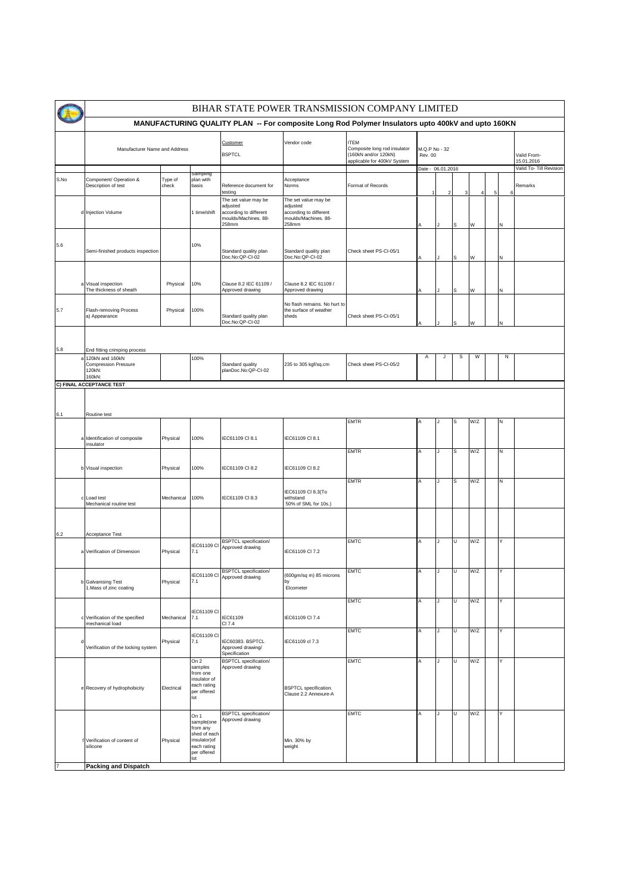|                | BIHAR STATE POWER TRANSMISSION COMPANY LIMITED<br>MANUFACTURING QUALITY PLAN -- For composite Long Rod Polymer Insulators upto 400kV and upto 160KN |                  |                                                                                                      |                                                                                             |                                                                                             |                                                                                                    |                                 |                           |   |     |   |   |                         |
|----------------|-----------------------------------------------------------------------------------------------------------------------------------------------------|------------------|------------------------------------------------------------------------------------------------------|---------------------------------------------------------------------------------------------|---------------------------------------------------------------------------------------------|----------------------------------------------------------------------------------------------------|---------------------------------|---------------------------|---|-----|---|---|-------------------------|
|                |                                                                                                                                                     |                  |                                                                                                      |                                                                                             |                                                                                             |                                                                                                    |                                 |                           |   |     |   |   |                         |
|                | Manufacturer Name and Address                                                                                                                       |                  |                                                                                                      | Customer<br><b>BSPTCL</b>                                                                   | Vendor code                                                                                 | <b>ITEM</b><br>Composite long rod insulator<br>(160kN and/or 120kN)<br>applicable for 400kV System | M.Q.P No - 32<br><b>Rev. 00</b> | Valid From-<br>15.01.2016 |   |     |   |   |                         |
|                |                                                                                                                                                     |                  | npiing                                                                                               |                                                                                             |                                                                                             |                                                                                                    | Date - 06.01.2016               |                           |   |     |   |   | Valid To- Till Revision |
| S.No           | Component/ Operation &<br>Description of test                                                                                                       | Type of<br>check | plan with<br>basis                                                                                   | Reference document for<br>testing                                                           | Acceptance<br>Norms                                                                         | Format of Records                                                                                  |                                 |                           | 3 | 4   | 5 | 6 | Remarks                 |
|                | d Injection Volume                                                                                                                                  |                  | 1 time/shift                                                                                         | The set value may be<br>adjusted<br>according to different<br>moulds/Machines. 88-<br>258mm | The set value may be<br>adjusted<br>according to different<br>moulds/Machines. 88-<br>258mm |                                                                                                    |                                 |                           |   | W   |   | И |                         |
| 5.6            | Semi-finished products inspection                                                                                                                   |                  | 10%                                                                                                  | Standard quality plan<br>Doc.No:QP-CI-02                                                    | Standard quality plan<br>Doc.No:QP-CI-02                                                    | Check sheet PS-CI-05/1                                                                             |                                 |                           | S | W   |   | Ν |                         |
|                | a Visual inspection<br>The thickness of sheath                                                                                                      | Physical         | 10%                                                                                                  | Clause 8.2 IEC 61109 /<br>Approved drawing                                                  | Clause 8.2 IEC 61109 /<br>Approved drawing                                                  |                                                                                                    |                                 |                           |   | W   |   | N |                         |
| 5.7            | Flash-removing Process<br>a) Appearance                                                                                                             | Physical         | 100%                                                                                                 | Standard quality plan<br>Doc.No:QP-CI-02                                                    | No flash remains. No hurt to<br>the surface of weather<br>sheds                             | Check sheet PS-CI-05/1                                                                             |                                 |                           |   |     |   |   |                         |
| 5.8            | End fitting crimping process                                                                                                                        |                  |                                                                                                      |                                                                                             |                                                                                             |                                                                                                    |                                 |                           |   |     |   |   |                         |
|                | 120kN and 160kN<br><b>Compression Pressure</b><br>120kN:<br>160kN:                                                                                  |                  | 100%                                                                                                 | Standard quality<br>planDoc.No:QP-CI-02                                                     | 235 to 305 kgf/sq.cm                                                                        | Check sheet PS-CI-05/2                                                                             | Α                               |                           | s | W   |   | Ν |                         |
|                | C) FINAL ACCEPTANCE TEST                                                                                                                            |                  |                                                                                                      |                                                                                             |                                                                                             |                                                                                                    |                                 |                           |   |     |   |   |                         |
|                |                                                                                                                                                     |                  |                                                                                                      |                                                                                             |                                                                                             |                                                                                                    |                                 |                           |   |     |   |   |                         |
|                |                                                                                                                                                     |                  |                                                                                                      |                                                                                             |                                                                                             |                                                                                                    |                                 |                           |   |     |   |   |                         |
| 6.1            | Routine test                                                                                                                                        |                  |                                                                                                      |                                                                                             |                                                                                             | <b>EMTR</b>                                                                                        |                                 |                           |   | W/Z |   | И |                         |
|                | a Identification of composite<br>insulator                                                                                                          | Physical         | 100%                                                                                                 | IEC61109 CI 8.1                                                                             | IEC61109 CI 8.1                                                                             |                                                                                                    |                                 |                           |   |     |   |   |                         |
|                | b Visual inspection                                                                                                                                 | Physical         | 100%                                                                                                 | IEC61109 CI 8.2                                                                             | IEC61109 CI 8.2                                                                             | <b>EMTR</b>                                                                                        | A                               |                           | s | W/Z |   | N |                         |
|                | c Load test<br>Mechanical routine test                                                                                                              | Mechanical       | 100%                                                                                                 | IEC61109 CI 8.3                                                                             | IEC61109 CI 8.3(To<br>withstand<br>50% of SML for 10s.)                                     | <b>EMTR</b>                                                                                        | Α                               |                           | S | W/Z |   | Ν |                         |
| 6.2            | Acceptance Test                                                                                                                                     |                  |                                                                                                      |                                                                                             |                                                                                             |                                                                                                    |                                 |                           |   |     |   |   |                         |
| ă              | Verification of Dimension                                                                                                                           | Physical         | IEC61109 CI<br>7.1                                                                                   | <b>BSPTCL</b> specification/<br>Approved drawing                                            | IEC61109 CI 7.2                                                                             | <b>EMTC</b>                                                                                        | Α                               |                           | U | W/Z |   | Y |                         |
|                | b Galvanising Test<br>1. Mass of zinc coating                                                                                                       | Physical         | 7.1                                                                                                  | <b>BSPTCL</b> specification/<br>IEC61109 CI Approved drawing                                | 600gm/sq m) 85 microns<br>Elcometer                                                         | <b>EMTC</b>                                                                                        | Α                               | J                         | τ | W/Z |   | Υ |                         |
|                | Verification of the specified<br>mechanical load                                                                                                    | Mechanical       | IEC61109 CI<br>7.1                                                                                   | IEC61109<br>CI 7.4                                                                          | IEC61109 CI 7.4                                                                             | <b>EMTC</b>                                                                                        | Α                               |                           | U | W/Z |   | Y |                         |
|                | Verification of the locking system                                                                                                                  | Physical         | IEC61109 CI<br>7.1                                                                                   | IEC60383. BSPTCL<br>Approved drawing/<br>Specification                                      | IEC61109 cl 7.3                                                                             | <b>EMTC</b>                                                                                        | Α                               |                           | U | W/Z |   | Υ |                         |
|                | e Recovery of hydrophobicity                                                                                                                        | Electrical       | On 2<br>samples<br>from one<br>insulator of<br>each rating<br>per offered<br>lot                     | <b>BSPTCL</b> specification/<br>Approved drawing                                            | <b>BSPTCL</b> specification.<br>Clause 2.2 Annexure-A                                       | <b>EMTC</b>                                                                                        | Α                               |                           | Þ | W/Z |   | Υ |                         |
| $\overline{7}$ | Verification of content of<br>silicone<br><b>Packing and Dispatch</b>                                                                               | Physical         | On 1<br>sample(one<br>from any<br>shed of each<br>insulator) of<br>each rating<br>per offered<br>lot | <b>BSPTCL</b> specification/<br>Approved drawing                                            | Min. 30% by<br>weight                                                                       | <b>EMTC</b>                                                                                        | Α                               |                           | U | W/Z |   | Υ |                         |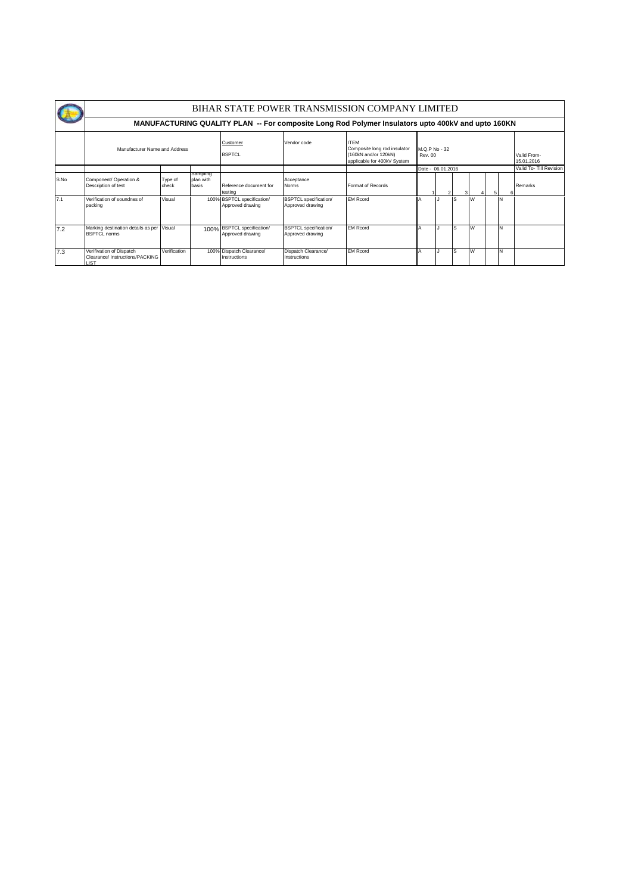|      |                                                                                                   | BIHAR STATE POWER TRANSMISSION COMPANY LIMITED |                                |                                                |                                                  |                                                                                                    |                          |                         |                           |   |  |          |         |  |  |
|------|---------------------------------------------------------------------------------------------------|------------------------------------------------|--------------------------------|------------------------------------------------|--------------------------------------------------|----------------------------------------------------------------------------------------------------|--------------------------|-------------------------|---------------------------|---|--|----------|---------|--|--|
|      | MANUFACTURING QUALITY PLAN -- For composite Long Rod Polymer Insulators upto 400kV and upto 160KN |                                                |                                |                                                |                                                  |                                                                                                    |                          |                         |                           |   |  |          |         |  |  |
|      | Manufacturer Name and Address                                                                     |                                                |                                | Customer<br><b>BSPTCL</b>                      | Vendor code                                      | <b>ITFM</b><br>Composite long rod insulator<br>(160kN and/or 120kN)<br>applicable for 400kV System | M.O.P No - 32<br>Rev. 00 |                         | Valid From-<br>15.01.2016 |   |  |          |         |  |  |
|      |                                                                                                   |                                                |                                |                                                |                                                  |                                                                                                    | Date - 06.01.2016        | Valid To- Till Revision |                           |   |  |          |         |  |  |
| S.No | Component/ Operation &<br>Description of test                                                     | Type of<br>check                               | sampling<br>plan with<br>basis | Reference document for<br>testing              | Acceptance<br>Norms                              | Format of Records                                                                                  |                          |                         |                           |   |  |          | Remarks |  |  |
| 7.1  | Verification of soundnes of<br>packing                                                            | Visual                                         |                                | 100% BSPTCL specification/<br>Approved drawing | <b>BSPTCL</b> specification/<br>Approved drawing | <b>EM Rcord</b>                                                                                    |                          |                         | S                         | W |  | <b>N</b> |         |  |  |
| 7.2  | Marking destination details as per Visual<br><b>BSPTCL norms</b>                                  |                                                |                                | 100% BSPTCL specification/<br>Approved drawing | <b>BSPTCL</b> specification/<br>Approved drawing | <b>EM Rcord</b>                                                                                    |                          |                         | ls                        |   |  | N        |         |  |  |
| 7.3  | Verifivation of Dispatch<br>Clearance/ Instructions/PACKING<br>LIST                               | Verification                                   |                                | 100% Dispatch Clearance/<br>Instructions       | Dispatch Clearance/<br>Instructions              | <b>EM Rcord</b>                                                                                    |                          |                         | S                         | W |  | <b>N</b> |         |  |  |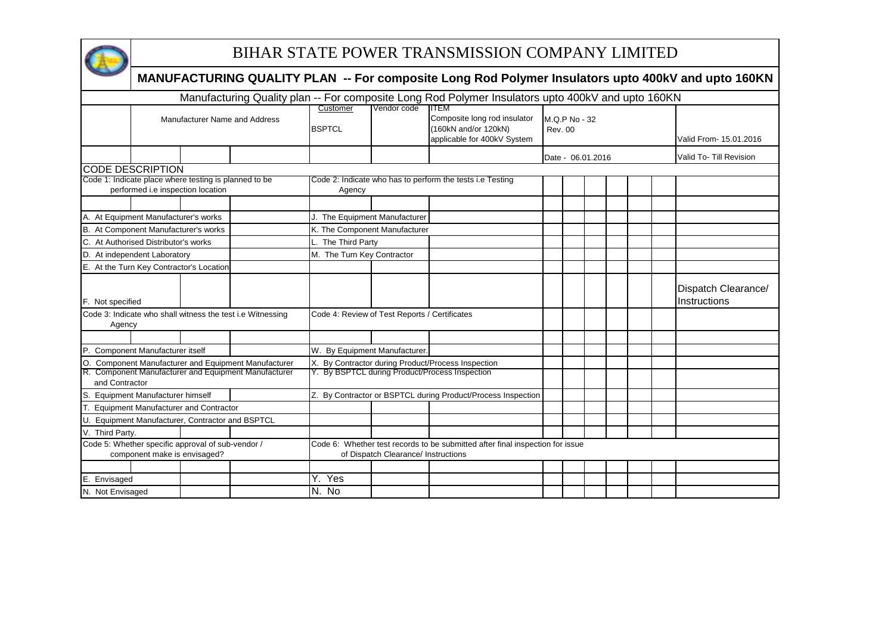

## BIHAR STATE POWER TRANSMISSION COMPANY LIMITED

|                                                                                   |                                                                                            |  |                                                            |                                                                                                                                                                            |                                                                               | MANUFACTURING QUALITY PLAN -- For composite Long Rod Polymer Insulators upto 400kV and upto 160KN |  |  |                   |  |                                     |  |  |
|-----------------------------------------------------------------------------------|--------------------------------------------------------------------------------------------|--|------------------------------------------------------------|----------------------------------------------------------------------------------------------------------------------------------------------------------------------------|-------------------------------------------------------------------------------|---------------------------------------------------------------------------------------------------|--|--|-------------------|--|-------------------------------------|--|--|
|                                                                                   |                                                                                            |  |                                                            |                                                                                                                                                                            |                                                                               | Manufacturing Quality plan -- For composite Long Rod Polymer Insulators upto 400kV and upto 160KN |  |  |                   |  |                                     |  |  |
|                                                                                   |                                                                                            |  | Manufacturer Name and Address                              | Vendor code<br>ITEM<br>Customer<br>Composite long rod insulator<br>M.Q.P No - 32<br>(160kN and/or 120kN)<br><b>BSPTCL</b><br><b>Rev. 00</b><br>applicable for 400kV System |                                                                               |                                                                                                   |  |  |                   |  | Valid From- 15.01.2016              |  |  |
|                                                                                   |                                                                                            |  |                                                            |                                                                                                                                                                            |                                                                               |                                                                                                   |  |  | Date - 06.01.2016 |  | Valid To- Till Revision             |  |  |
|                                                                                   | <b>CODE DESCRIPTION</b>                                                                    |  |                                                            |                                                                                                                                                                            |                                                                               |                                                                                                   |  |  |                   |  |                                     |  |  |
|                                                                                   | Code 1: Indicate place where testing is planned to be<br>performed i.e inspection location |  |                                                            | Agency                                                                                                                                                                     |                                                                               | Code 2: Indicate who has to perform the tests i.e Testing                                         |  |  |                   |  |                                     |  |  |
|                                                                                   |                                                                                            |  |                                                            |                                                                                                                                                                            |                                                                               |                                                                                                   |  |  |                   |  |                                     |  |  |
|                                                                                   | A. At Equipment Manufacturer's works                                                       |  |                                                            | J. The Equipment Manufacturer                                                                                                                                              |                                                                               |                                                                                                   |  |  |                   |  |                                     |  |  |
|                                                                                   | B. At Component Manufacturer's works                                                       |  |                                                            | K. The Component Manufacturer                                                                                                                                              |                                                                               |                                                                                                   |  |  |                   |  |                                     |  |  |
|                                                                                   | C. At Authorised Distributor's works                                                       |  |                                                            | L. The Third Party                                                                                                                                                         |                                                                               |                                                                                                   |  |  |                   |  |                                     |  |  |
|                                                                                   | D. At independent Laboratory                                                               |  |                                                            | M. The Turn Key Contractor                                                                                                                                                 |                                                                               |                                                                                                   |  |  |                   |  |                                     |  |  |
|                                                                                   | E. At the Turn Key Contractor's Location                                                   |  |                                                            |                                                                                                                                                                            |                                                                               |                                                                                                   |  |  |                   |  |                                     |  |  |
| F. Not specified                                                                  |                                                                                            |  |                                                            |                                                                                                                                                                            |                                                                               |                                                                                                   |  |  |                   |  | Dispatch Clearance/<br>Instructions |  |  |
| Agency                                                                            |                                                                                            |  | Code 3: Indicate who shall witness the test i.e Witnessing | Code 4: Review of Test Reports / Certificates                                                                                                                              |                                                                               |                                                                                                   |  |  |                   |  |                                     |  |  |
|                                                                                   |                                                                                            |  |                                                            |                                                                                                                                                                            |                                                                               |                                                                                                   |  |  |                   |  |                                     |  |  |
|                                                                                   | P. Component Manufacturer itself                                                           |  |                                                            | W. By Equipment Manufacturer                                                                                                                                               |                                                                               |                                                                                                   |  |  |                   |  |                                     |  |  |
| О.                                                                                |                                                                                            |  | <b>Component Manufacturer and Equipment Manufacturer</b>   |                                                                                                                                                                            |                                                                               | X. By Contractor during Product/Process Inspection                                                |  |  |                   |  |                                     |  |  |
| and Contractor                                                                    |                                                                                            |  | R. Component Manufacturer and Equipment Manufacturer       |                                                                                                                                                                            |                                                                               | Y. By BSPTCL during Product/Process Inspection                                                    |  |  |                   |  |                                     |  |  |
| S.                                                                                | <b>Equipment Manufacturer himself</b>                                                      |  |                                                            |                                                                                                                                                                            |                                                                               | Z. By Contractor or BSPTCL during Product/Process Inspection                                      |  |  |                   |  |                                     |  |  |
|                                                                                   | <b>Equipment Manufacturer and Contractor</b>                                               |  |                                                            |                                                                                                                                                                            |                                                                               |                                                                                                   |  |  |                   |  |                                     |  |  |
|                                                                                   | U. Equipment Manufacturer, Contractor and BSPTCL                                           |  |                                                            |                                                                                                                                                                            |                                                                               |                                                                                                   |  |  |                   |  |                                     |  |  |
| V. Third Party.                                                                   |                                                                                            |  |                                                            |                                                                                                                                                                            |                                                                               |                                                                                                   |  |  |                   |  |                                     |  |  |
| Code 5: Whether specific approval of sub-vendor /<br>component make is envisaged? |                                                                                            |  |                                                            | of Dispatch Clearance/ Instructions                                                                                                                                        | Code 6: Whether test records to be submitted after final inspection for issue |                                                                                                   |  |  |                   |  |                                     |  |  |
|                                                                                   |                                                                                            |  |                                                            |                                                                                                                                                                            |                                                                               |                                                                                                   |  |  |                   |  |                                     |  |  |
| E. Envisaged                                                                      |                                                                                            |  |                                                            | Y. Yes                                                                                                                                                                     |                                                                               |                                                                                                   |  |  |                   |  |                                     |  |  |
| N. Not Envisaged                                                                  |                                                                                            |  |                                                            | $N.$ No                                                                                                                                                                    |                                                                               |                                                                                                   |  |  |                   |  |                                     |  |  |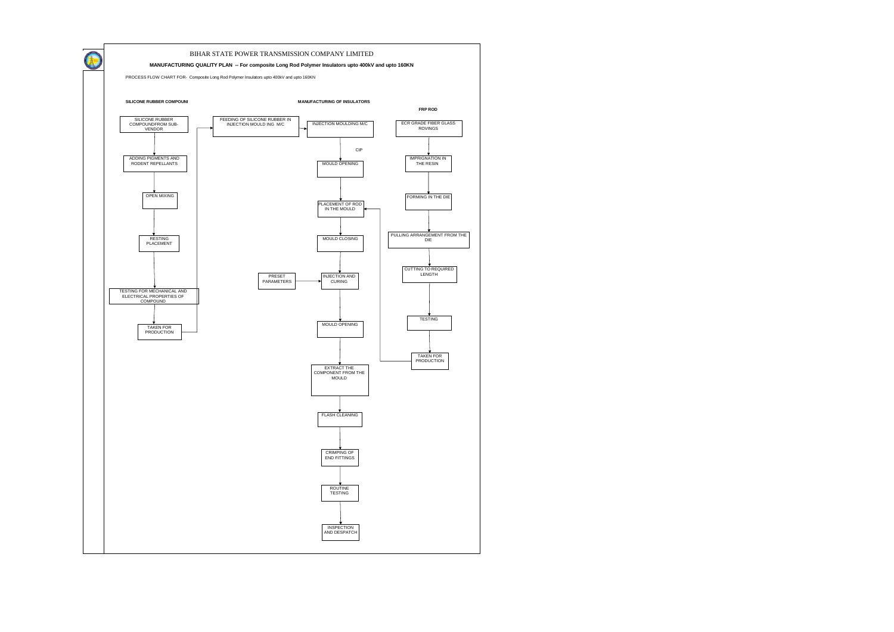